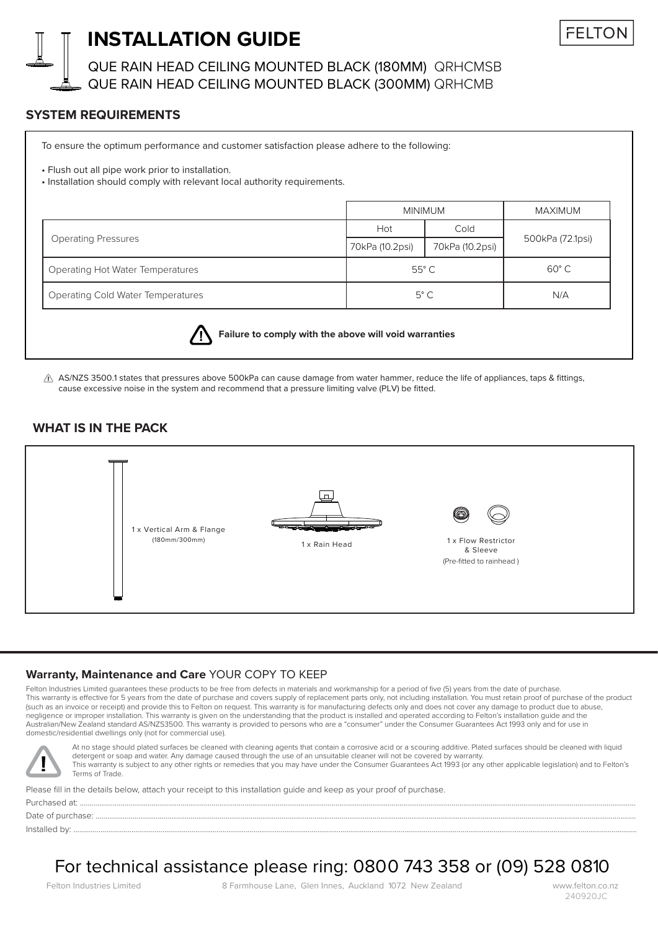

## **INSTALLATION GUIDE**

QUE RAIN HEAD CEILING MOUNTED BLACK (180MM) QRHCMSB QUE RAIN HEAD CEILING MOUNTED BLACK (300MM) QRHCMB

## **SYSTEM REQUIREMENTS**

To ensure the optimum performance and customer satisfaction please adhere to the following:

• Flush out all pipe work prior to installation.

• Installation should comply with relevant local authority requirements.

|                                          | <b>MINIMUM</b>  |                 | MAXIMUM          |
|------------------------------------------|-----------------|-----------------|------------------|
| <b>Operating Pressures</b>               | Hot             | Cold            | 500kPa (72.1psi) |
|                                          | 70kPa (10.2psi) | 70kPa (10.2psi) |                  |
| <b>Operating Hot Water Temperatures</b>  | $55^{\circ}$ C  |                 | $60^{\circ}$ C   |
| <b>Operating Cold Water Temperatures</b> | $5^{\circ}$ C   |                 | N/A              |



**Failure to comply with the above will void warranties**

 $\triangle$  AS/NZS 3500.1 states that pressures above 500kPa can cause damage from water hammer, reduce the life of appliances, taps & fittings, cause excessive noise in the system and recommend that a pressure limiting valve (PLV) be fitted.

### **WHAT IS IN THE PACK**



#### **Warranty, Maintenance and Care** YOUR COPY TO KEEP

Felton Industries Limited quarantees these products to be free from defects in materials and workmanship for a period of five (5) years from the date of purchase. This warranty is effective for 5 years from the date of purchase and covers supply of replacement parts only, not including installation. You must retain proof of purchase of the product (such as an invoice or receipt) and provide this to Felton on request. This warranty is for manufacturing defects only and does not cover any damage to product due to abuse, negligence or improper installation. This warranty is given on the understanding that the product is installed and operated according to Felton's installation guide and the Australian/New Zealand standard AS/NZS3500. This warranty is provided to persons who are a "consumer" under the Consumer Guarantees Act 1993 only and for use in domestic/residential dwellings only (not for commercial use).



At no stage should plated surfaces be cleaned with cleaning agents that contain a corrosive acid or a scouring additive. Plated surfaces should be cleaned with liquid detergent or soap and water. Any damage caused through the use of an unsuitable cleaner will not be covered by warranty. This warranty is subject to any other rights or remedies that you may have under the Consumer Guarantees Act 1993 (or any other applicable legislation) and to Felton's Terms of Trade.

Please fill in the details below, attach your receipt to this installation guide and keep as your proof of purchase. Purchased at: ...............................................................................................................................................................................................................................................................................................

Date of purchase: ............

Installed by: ...................................................................................................................................................................................................................................................................................................

# For technical assistance please ring: 0800 743 358 or (09) 528 0810

Felton Industries Limited 8 Farmhouse Lane, Glen Innes, Auckland 1072 New Zealand www.felton.co.nz

240920JC

**FFITO**